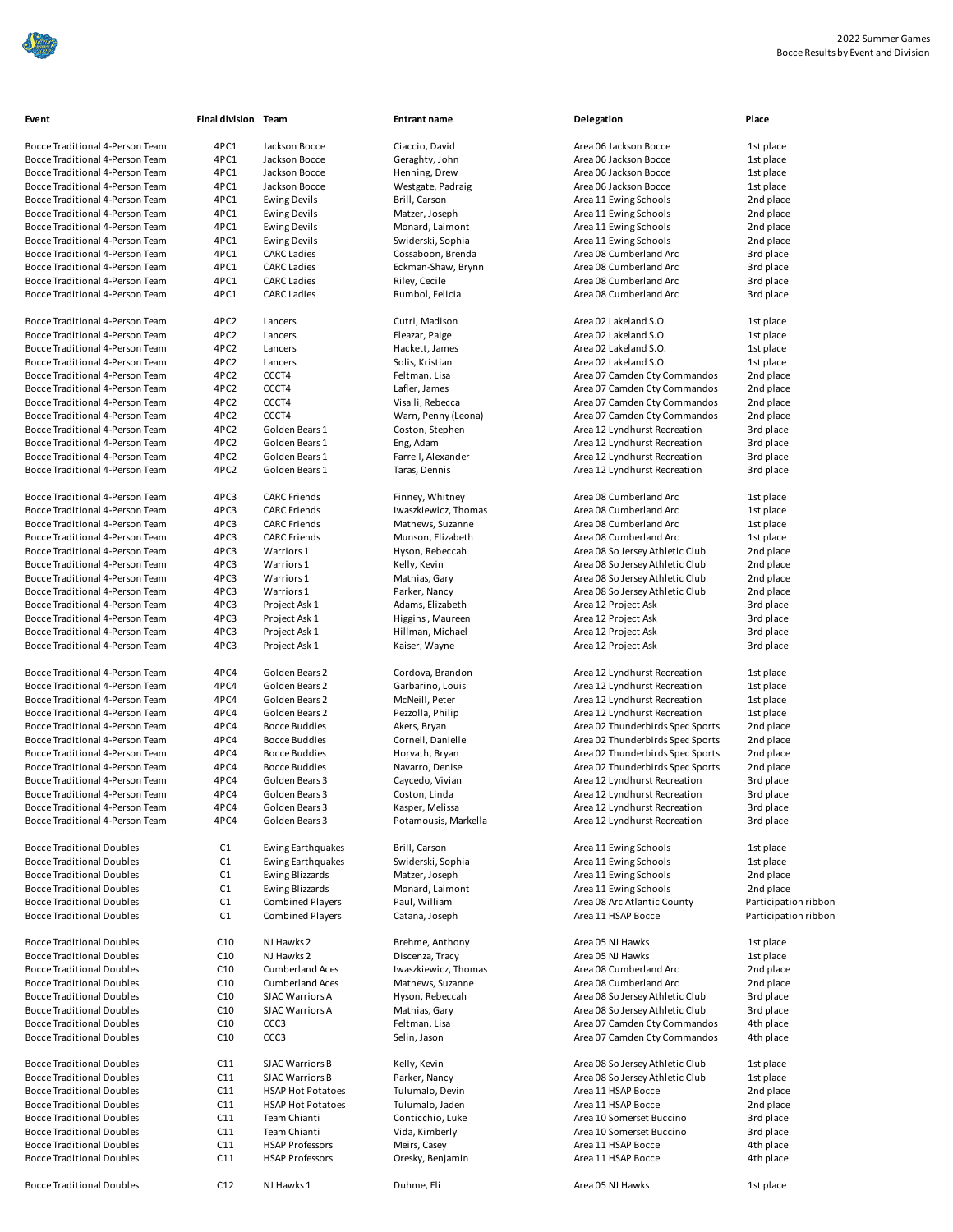

| Bocce Traditional 4-Person Team |
|---------------------------------|
| Bocce Traditional 4-Person Team |
| Bocce Traditional 4-Person Team |
| Bocce Traditional 4-Person Team |
| Bocce Traditional 4-Person Team |
| Bocce Traditional 4-Person Team |
| Bocce Traditional 4-Person Team |
| Bocce Traditional 4-Person Team |
| Bocce Traditional 4-Person Team |
| Bocce Traditional 4-Person Team |
| Bocce Traditional 4-Person Team |
| Bocce Traditional 4-Person Team |
|                                 |

| Event                            | Final division Team |                          | <b>Entrant name</b>                | Delegation                                                           | Place      |
|----------------------------------|---------------------|--------------------------|------------------------------------|----------------------------------------------------------------------|------------|
| Bocce Traditional 4-Person Team  | 4PC1                | Jackson Bocce            | Ciaccio, David                     | Area 06 Jackson Bocce                                                | 1st place  |
| Bocce Traditional 4-Person Team  | 4PC1                | Jackson Bocce            | Geraghty, John                     | Area 06 Jackson Bocce                                                | 1st place  |
| Bocce Traditional 4-Person Team  | 4PC1                | Jackson Bocce            | Henning, Drew                      | Area 06 Jackson Bocce                                                | 1st place  |
|                                  | 4PC1                |                          |                                    |                                                                      |            |
| Bocce Traditional 4-Person Team  | 4PC1                | Jackson Bocce            | Westgate, Padraig<br>Brill, Carson | Area 06 Jackson Bocce<br>Area 11 Ewing Schools                       | 1st place  |
| Bocce Traditional 4-Person Team  |                     | <b>Ewing Devils</b>      |                                    |                                                                      | 2nd place  |
| Bocce Traditional 4-Person Team  | 4PC1                | <b>Ewing Devils</b>      | Matzer, Joseph                     | Area 11 Ewing Schools                                                | 2nd place  |
| Bocce Traditional 4-Person Team  | 4PC1                | <b>Ewing Devils</b>      | Monard, Laimont                    | Area 11 Ewing Schools                                                | 2nd place  |
| Bocce Traditional 4-Person Team  | 4PC1                | <b>Ewing Devils</b>      | Swiderski, Sophia                  | Area 11 Ewing Schools                                                | 2nd place  |
| Bocce Traditional 4-Person Team  | 4PC1                | <b>CARC Ladies</b>       | Cossaboon, Brenda                  | Area 08 Cumberland Arc                                               | 3rd place  |
| Bocce Traditional 4-Person Team  | 4PC1                | <b>CARC Ladies</b>       | Eckman-Shaw, Brynn                 | Area 08 Cumberland Arc                                               | 3rd place  |
| Bocce Traditional 4-Person Team  | 4PC1                | <b>CARC Ladies</b>       | Riley, Cecile                      | Area 08 Cumberland Arc                                               | 3rd place  |
| Bocce Traditional 4-Person Team  | 4PC1                | <b>CARC Ladies</b>       | Rumbol, Felicia                    | Area 08 Cumberland Arc                                               | 3rd place  |
| Bocce Traditional 4-Person Team  | 4PC <sub>2</sub>    | Lancers                  | Cutri, Madison                     | Area 02 Lakeland S.O.                                                | 1st place  |
| Bocce Traditional 4-Person Team  | 4PC <sub>2</sub>    | Lancers                  | Eleazar, Paige                     | Area 02 Lakeland S.O.                                                | 1st place  |
| Bocce Traditional 4-Person Team  | 4PC <sub>2</sub>    | Lancers                  | Hackett, James                     | Area 02 Lakeland S.O.                                                | 1st place  |
| Bocce Traditional 4-Person Team  | 4PC <sub>2</sub>    | Lancers                  | Solis, Kristian                    | Area 02 Lakeland S.O.                                                | 1st place  |
| Bocce Traditional 4-Person Team  | 4PC <sub>2</sub>    | CCCT4                    | Feltman, Lisa                      | Area 07 Camden Cty Commandos                                         | 2nd place  |
| Bocce Traditional 4-Person Team  | 4PC <sub>2</sub>    | CCCT4                    | Lafler, James                      | Area 07 Camden Cty Commandos                                         | 2nd place  |
| Bocce Traditional 4-Person Team  | 4PC <sub>2</sub>    | CCCT4                    | Visalli, Rebecca                   | Area 07 Camden Cty Commandos                                         | 2nd place  |
| Bocce Traditional 4-Person Team  | 4PC <sub>2</sub>    | CCCT4                    | Warn, Penny (Leona)                | Area 07 Camden Cty Commandos                                         | 2nd place  |
| Bocce Traditional 4-Person Team  | 4PC <sub>2</sub>    | Golden Bears 1           | Coston, Stephen                    | Area 12 Lyndhurst Recreation                                         | 3rd place  |
| Bocce Traditional 4-Person Team  | 4PC <sub>2</sub>    | Golden Bears 1           | Eng, Adam                          | Area 12 Lyndhurst Recreation                                         | 3rd place  |
| Bocce Traditional 4-Person Team  | 4PC <sub>2</sub>    | Golden Bears 1           | Farrell, Alexander                 | Area 12 Lyndhurst Recreation                                         | 3rd place  |
| Bocce Traditional 4-Person Team  | 4PC <sub>2</sub>    | Golden Bears 1           | Taras, Dennis                      | Area 12 Lyndhurst Recreation                                         | 3rd place  |
|                                  |                     |                          |                                    |                                                                      |            |
| Bocce Traditional 4-Person Team  | 4PC3                | <b>CARC Friends</b>      | Finney, Whitney                    | Area 08 Cumberland Arc                                               | 1st place  |
| Bocce Traditional 4-Person Team  | 4PC3                | <b>CARC Friends</b>      | Iwaszkiewicz, Thomas               | Area 08 Cumberland Arc                                               | 1st place  |
| Bocce Traditional 4-Person Team  | 4PC3                | <b>CARC Friends</b>      | Mathews, Suzanne                   | Area 08 Cumberland Arc                                               | 1st place  |
| Bocce Traditional 4-Person Team  | 4PC3                | <b>CARC Friends</b>      | Munson, Elizabeth                  | Area 08 Cumberland Arc                                               | 1st place  |
| Bocce Traditional 4-Person Team  | 4PC3                | Warriors 1               | Hyson, Rebeccah                    | Area 08 So Jersey Athletic Club                                      | 2nd place  |
| Bocce Traditional 4-Person Team  | 4PC3                | Warriors 1               | Kelly, Kevin                       | Area 08 So Jersey Athletic Club                                      | 2nd place  |
| Bocce Traditional 4-Person Team  | 4PC3                | Warriors 1               | Mathias, Gary                      | Area 08 So Jersey Athletic Club                                      | 2nd place  |
| Bocce Traditional 4-Person Team  | 4PC3                | Warriors 1               | Parker, Nancy                      | Area 08 So Jersey Athletic Club                                      | 2nd place  |
| Bocce Traditional 4-Person Team  | 4PC3                | Project Ask 1            | Adams, Elizabeth                   | Area 12 Project Ask                                                  | 3rd place  |
| Bocce Traditional 4-Person Team  | 4PC3                | Project Ask 1            | Higgins, Maureen                   | Area 12 Project Ask                                                  | 3rd place  |
| Bocce Traditional 4-Person Team  | 4PC3                | Project Ask 1            | Hillman, Michael                   | Area 12 Project Ask                                                  | 3rd place  |
| Bocce Traditional 4-Person Team  | 4PC3                | Project Ask 1            | Kaiser, Wayne                      | Area 12 Project Ask                                                  | 3rd place  |
|                                  |                     |                          |                                    |                                                                      |            |
| Bocce Traditional 4-Person Team  | 4PC4                | Golden Bears 2           | Cordova, Brandon                   | Area 12 Lyndhurst Recreation                                         | 1st place  |
| Bocce Traditional 4-Person Team  | 4PC4                | Golden Bears 2           | Garbarino, Louis                   | Area 12 Lyndhurst Recreation                                         | 1st place  |
| Bocce Traditional 4-Person Team  | 4PC4                | Golden Bears 2           | McNeill, Peter                     | Area 12 Lyndhurst Recreation                                         | 1st place  |
| Bocce Traditional 4-Person Team  | 4PC4                | Golden Bears 2           | Pezzolla, Philip                   | Area 12 Lyndhurst Recreation                                         | 1st place  |
| Bocce Traditional 4-Person Team  | 4PC4                | <b>Bocce Buddies</b>     | Akers, Bryan                       | Area 02 Thunderbirds Spec Sports                                     | 2nd place  |
| Bocce Traditional 4-Person Team  | 4PC4                | <b>Bocce Buddies</b>     | Cornell, Danielle                  |                                                                      |            |
|                                  |                     |                          | Horvath, Bryan                     | Area 02 Thunderbirds Spec Sports<br>Area 02 Thunderbirds Spec Sports | 2nd place  |
| Bocce Traditional 4-Person Team  | 4PC4                | Bocce Buddies            |                                    |                                                                      | 2nd place  |
| Bocce Traditional 4-Person Team  | 4PC4                | Bocce Buddies            | Navarro, Denise                    | Area 02 Thunderbirds Spec Sports                                     | 2nd place  |
| Bocce Traditional 4-Person Team  | 4PC4                | Golden Bears 3           | Caycedo, Vivian                    | Area 12 Lyndhurst Recreation                                         | 3rd place  |
| Bocce Traditional 4-Person Team  | 4PC4                | Golden Bears 3           | Coston, Linda                      | Area 12 Lyndhurst Recreation                                         | 3rd place  |
| Bocce Traditional 4-Person Team  | 4PC4                | Golden Bears 3           | Kasper, Melissa                    | Area 12 Lyndhurst Recreation                                         | 3rd place  |
| Bocce Traditional 4-Person Team  | 4PC4                | Golden Bears 3           | Potamousis, Markella               | Area 12 Lyndhurst Recreation                                         | 3rd place  |
| <b>Bocce Traditional Doubles</b> | C <sub>1</sub>      | <b>Ewing Earthquakes</b> | Brill, Carson                      | Area 11 Ewing Schools                                                | 1st place  |
| <b>Bocce Traditional Doubles</b> | C1                  | Ewing Earthquakes        | Swiderski, Sophia                  | Area 11 Ewing Schools                                                | 1st place  |
| <b>Bocce Traditional Doubles</b> | C1                  | <b>Ewing Blizzards</b>   | Matzer, Joseph                     | Area 11 Ewing Schools                                                | 2nd place  |
| <b>Bocce Traditional Doubles</b> | C1                  | Ewing Blizzards          | Monard, Laimont                    | Area 11 Ewing Schools                                                | 2nd place  |
| <b>Bocce Traditional Doubles</b> | C1                  | <b>Combined Players</b>  | Paul, William                      | Area 08 Arc Atlantic County                                          | Participat |
| <b>Bocce Traditional Doubles</b> | C1                  | <b>Combined Players</b>  | Catana, Joseph                     | Area 11 HSAP Bocce                                                   | Participat |
|                                  |                     |                          |                                    |                                                                      |            |
| <b>Bocce Traditional Doubles</b> | C10                 | NJ Hawks 2               | Brehme, Anthony                    | Area 05 NJ Hawks                                                     | 1st place  |
| <b>Bocce Traditional Doubles</b> | C10                 | NJ Hawks 2               | Discenza, Tracy                    | Area 05 NJ Hawks                                                     | 1st place  |
| <b>Bocce Traditional Doubles</b> | C10                 | <b>Cumberland Aces</b>   | Iwaszkiewicz, Thomas               | Area 08 Cumberland Arc                                               | 2nd place  |
| <b>Bocce Traditional Doubles</b> | C10                 | <b>Cumberland Aces</b>   | Mathews, Suzanne                   | Area 08 Cumberland Arc                                               | 2nd place  |
| <b>Bocce Traditional Doubles</b> | C10                 | <b>SJAC Warriors A</b>   | Hyson, Rebeccah                    | Area 08 So Jersey Athletic Club                                      | 3rd place  |
| <b>Bocce Traditional Doubles</b> | C10                 | SJAC Warriors A          | Mathias, Gary                      | Area 08 So Jersey Athletic Club                                      | 3rd place  |
| <b>Bocce Traditional Doubles</b> | C10                 | CCC <sub>3</sub>         | Feltman, Lisa                      | Area 07 Camden Cty Commandos                                         | 4th place  |
| <b>Bocce Traditional Doubles</b> | C10                 | CCC <sub>3</sub>         | Selin, Jason                       | Area 07 Camden Cty Commandos                                         | 4th place  |
| <b>Bocce Traditional Doubles</b> | C11                 | <b>SJAC Warriors B</b>   | Kelly, Kevin                       | Area 08 So Jersey Athletic Club                                      | 1st place  |
| <b>Bocce Traditional Doubles</b> | C11                 | <b>SJAC Warriors B</b>   | Parker, Nancy                      | Area 08 So Jersey Athletic Club                                      | 1st place  |
| <b>Bocce Traditional Doubles</b> | C11                 | <b>HSAP Hot Potatoes</b> | Tulumalo, Devin                    | Area 11 HSAP Bocce                                                   | 2nd place  |
| <b>Bocce Traditional Doubles</b> | C11                 | <b>HSAP Hot Potatoes</b> | Tulumalo, Jaden                    | Area 11 HSAP Bocce                                                   | 2nd place  |
|                                  | C11                 | Team Chianti             |                                    |                                                                      |            |
| <b>Bocce Traditional Doubles</b> |                     |                          | Conticchio, Luke                   | Area 10 Somerset Buccino                                             | 3rd place  |
| <b>Bocce Traditional Doubles</b> | C11                 | Team Chianti             | Vida, Kimberly                     | Area 10 Somerset Buccino                                             | 3rd place  |
| <b>Bocce Traditional Doubles</b> | C11                 | <b>HSAP Professors</b>   | Meirs, Casey                       | Area 11 HSAP Bocce                                                   | 4th place  |
| <b>Bocce Traditional Doubles</b> | C11                 | <b>HSAP Professors</b>   | Oresky, Benjamin                   | Area 11 HSAP Bocce                                                   | 4th place  |
| <b>Bocce Traditional Doubles</b> | C12                 | NJ Hawks 1               | Duhme, Eli                         | Area 05 NJ Hawks                                                     | 1st place  |

| Event                                                                | Final division Team |                                      | <b>Entrant name</b>           | Delegation                                                   | Place                  |
|----------------------------------------------------------------------|---------------------|--------------------------------------|-------------------------------|--------------------------------------------------------------|------------------------|
|                                                                      |                     |                                      |                               |                                                              |                        |
| Bocce Traditional 4-Person Team                                      | 4PC1                | Jackson Bocce                        | Ciaccio, David                | Area 06 Jackson Bocce                                        | 1st place              |
| Bocce Traditional 4-Person Team                                      | 4PC1                | Jackson Bocce                        | Geraghty, John                | Area 06 Jackson Bocce                                        | 1st place              |
| Bocce Traditional 4-Person Team                                      | 4PC1                | Jackson Bocce                        | Henning, Drew                 | Area 06 Jackson Bocce                                        | 1st place              |
| Bocce Traditional 4-Person Team                                      | 4PC1                | Jackson Bocce                        | Westgate, Padraig             | Area 06 Jackson Bocce                                        | 1st place              |
| Bocce Traditional 4-Person Team                                      | 4PC1                | <b>Ewing Devils</b>                  | Brill, Carson                 | Area 11 Ewing Schools                                        | 2nd place              |
| Bocce Traditional 4-Person Team                                      | 4PC1                | <b>Ewing Devils</b>                  | Matzer, Joseph                | Area 11 Ewing Schools                                        | 2nd place              |
| Bocce Traditional 4-Person Team                                      | 4PC1                | <b>Ewing Devils</b>                  | Monard, Laimont               | Area 11 Ewing Schools                                        | 2nd place              |
| Bocce Traditional 4-Person Team                                      | 4PC1                | <b>Ewing Devils</b>                  | Swiderski, Sophia             | Area 11 Ewing Schools                                        | 2nd place              |
| Bocce Traditional 4-Person Team                                      | 4PC1                | <b>CARC Ladies</b>                   | Cossaboon, Brenda             | Area 08 Cumberland Arc                                       | 3rd place              |
| Bocce Traditional 4-Person Team                                      | 4PC1                | <b>CARC Ladies</b>                   | Eckman-Shaw, Brynn            | Area 08 Cumberland Arc                                       | 3rd place              |
| Bocce Traditional 4-Person Team                                      | 4PC1                | <b>CARC Ladies</b>                   | Riley, Cecile                 | Area 08 Cumberland Arc                                       | 3rd place              |
| Bocce Traditional 4-Person Team                                      | 4PC1                | <b>CARC Ladies</b>                   | Rumbol, Felicia               | Area 08 Cumberland Arc                                       | 3rd place              |
| Bocce Traditional 4-Person Team                                      | 4PC <sub>2</sub>    | Lancers                              | Cutri, Madison                | Area 02 Lakeland S.O.                                        | 1st place              |
| Bocce Traditional 4-Person Team                                      | 4PC <sub>2</sub>    | Lancers                              | Eleazar, Paige                | Area 02 Lakeland S.O.                                        | 1st place              |
| Bocce Traditional 4-Person Team                                      | 4PC <sub>2</sub>    | Lancers                              | Hackett, James                | Area 02 Lakeland S.O.                                        | 1st place              |
| Bocce Traditional 4-Person Team                                      | 4PC <sub>2</sub>    | Lancers                              | Solis, Kristian               | Area 02 Lakeland S.O.                                        | 1st place              |
| Bocce Traditional 4-Person Team                                      | 4PC2                | CCCT4                                | Feltman, Lisa                 | Area 07 Camden Cty Commandos                                 | 2nd place              |
| Bocce Traditional 4-Person Team                                      | 4PC2                | CCCT4                                | Lafler, James                 | Area 07 Camden Cty Commandos                                 | 2nd place              |
| Bocce Traditional 4-Person Team                                      | 4PC <sub>2</sub>    | CCCT4                                | Visalli, Rebecca              | Area 07 Camden Cty Commandos                                 | 2nd place              |
| Bocce Traditional 4-Person Team                                      | 4PC <sub>2</sub>    | CCCT4                                | Warn, Penny (Leona)           | Area 07 Camden Cty Commandos                                 | 2nd place              |
| Bocce Traditional 4-Person Team                                      |                     | Golden Bears 1                       |                               |                                                              |                        |
|                                                                      | 4PC2                |                                      | Coston, Stephen               | Area 12 Lyndhurst Recreation                                 | 3rd place              |
| Bocce Traditional 4-Person Team                                      | 4PC <sub>2</sub>    | Golden Bears 1                       | Eng, Adam                     | Area 12 Lyndhurst Recreation                                 | 3rd place              |
| Bocce Traditional 4-Person Team                                      | 4PC2                | Golden Bears 1                       | Farrell, Alexander            | Area 12 Lyndhurst Recreation                                 | 3rd place              |
| Bocce Traditional 4-Person Team                                      | 4PC <sub>2</sub>    | Golden Bears 1                       | Taras, Dennis                 | Area 12 Lyndhurst Recreation                                 | 3rd place              |
| Bocce Traditional 4-Person Team                                      | 4PC3                | <b>CARC Friends</b>                  | Finney, Whitney               | Area 08 Cumberland Arc                                       | 1st place              |
| Bocce Traditional 4-Person Team                                      | 4PC3                | <b>CARC Friends</b>                  | Iwaszkiewicz, Thomas          | Area 08 Cumberland Arc                                       | 1st place              |
| Bocce Traditional 4-Person Team                                      | 4PC3                | <b>CARC Friends</b>                  | Mathews, Suzanne              | Area 08 Cumberland Arc                                       | 1st place              |
| Bocce Traditional 4-Person Team                                      | 4PC3                | <b>CARC Friends</b>                  | Munson, Elizabeth             | Area 08 Cumberland Arc                                       | 1st place              |
| Bocce Traditional 4-Person Team                                      | 4PC3                | Warriors 1                           | Hyson, Rebeccah               | Area 08 So Jersey Athletic Club                              | 2nd place              |
| Bocce Traditional 4-Person Team                                      | 4PC3                | <b>Warriors 1</b>                    | Kelly, Kevin                  | Area 08 So Jersey Athletic Club                              | 2nd place              |
| Bocce Traditional 4-Person Team                                      | 4PC3                | <b>Warriors 1</b>                    | Mathias, Gary                 | Area 08 So Jersey Athletic Club                              | 2nd place              |
| Bocce Traditional 4-Person Team                                      | 4PC3                | Warriors 1                           | Parker, Nancy                 | Area 08 So Jersey Athletic Club                              | 2nd place              |
| Bocce Traditional 4-Person Team                                      | 4PC3                | Project Ask 1                        | Adams, Elizabeth              | Area 12 Project Ask                                          | 3rd place              |
| Bocce Traditional 4-Person Team                                      | 4PC3                | Project Ask 1                        | Higgins, Maureen              | Area 12 Project Ask                                          | 3rd place              |
| Bocce Traditional 4-Person Team                                      | 4PC3                | Project Ask 1                        | Hillman, Michael              | Area 12 Project Ask                                          | 3rd place              |
| Bocce Traditional 4-Person Team                                      | 4PC3                | Project Ask 1                        | Kaiser, Wayne                 | Area 12 Project Ask                                          | 3rd place              |
| Bocce Traditional 4-Person Team                                      | 4PC4                | Golden Bears 2                       | Cordova, Brandon              | Area 12 Lyndhurst Recreation                                 | 1st place              |
| Bocce Traditional 4-Person Team                                      | 4PC4                | Golden Bears 2                       | Garbarino, Louis              | Area 12 Lyndhurst Recreation                                 | 1st place              |
|                                                                      | 4PC4                | Golden Bears 2                       |                               |                                                              |                        |
| Bocce Traditional 4-Person Team                                      |                     |                                      | McNeill, Peter                | Area 12 Lyndhurst Recreation                                 | 1st place              |
| Bocce Traditional 4-Person Team                                      | 4PC4                | Golden Bears 2                       | Pezzolla, Philip              | Area 12 Lyndhurst Recreation                                 | 1st place              |
| Bocce Traditional 4-Person Team                                      | 4PC4                | <b>Bocce Buddies</b>                 | Akers, Bryan                  | Area 02 Thunderbirds Spec Sports                             | 2nd place              |
| Bocce Traditional 4-Person Team                                      | 4PC4                | <b>Bocce Buddies</b>                 | Cornell, Danielle             | Area 02 Thunderbirds Spec Sports                             | 2nd place              |
| Bocce Traditional 4-Person Team                                      | 4PC4                | <b>Bocce Buddies</b>                 | Horvath, Bryan                | Area 02 Thunderbirds Spec Sports                             | 2nd place              |
| Bocce Traditional 4-Person Team                                      | 4PC4                | <b>Bocce Buddies</b>                 | Navarro, Denise               | Area 02 Thunderbirds Spec Sports                             | 2nd place              |
| Bocce Traditional 4-Person Team                                      | 4PC4                | Golden Bears 3                       | Caycedo, Vivian               | Area 12 Lyndhurst Recreation                                 | 3rd place              |
| Bocce Traditional 4-Person Team                                      | 4PC4                | Golden Bears 3                       | Coston, Linda                 | Area 12 Lyndhurst Recreation                                 | 3rd place              |
| Bocce Traditional 4-Person Team                                      | 4PC4                | Golden Bears 3                       | Kasper, Melissa               | Area 12 Lyndhurst Recreation                                 | 3rd place              |
| Bocce Traditional 4-Person Team                                      | 4PC4                | Golden Bears 3                       | Potamousis, Markella          | Area 12 Lyndhurst Recreation                                 | 3rd place              |
| <b>Bocce Traditional Doubles</b>                                     | C1                  | <b>Ewing Earthquakes</b>             | Brill, Carson                 | Area 11 Ewing Schools                                        | 1st place              |
| <b>Bocce Traditional Doubles</b>                                     | C1                  | <b>Ewing Earthquakes</b>             | Swiderski, Sophia             | Area 11 Ewing Schools                                        | 1st place              |
| <b>Bocce Traditional Doubles</b>                                     | C1                  | <b>Ewing Blizzards</b>               | Matzer, Joseph                | Area 11 Ewing Schools                                        | 2nd place              |
| <b>Bocce Traditional Doubles</b>                                     | C1                  | <b>Ewing Blizzards</b>               | Monard, Laimont               | Area 11 Ewing Schools                                        | 2nd place              |
| <b>Bocce Traditional Doubles</b>                                     | C1                  | <b>Combined Players</b>              | Paul, William                 | Area 08 Arc Atlantic County                                  | Participation ribbon   |
| <b>Bocce Traditional Doubles</b>                                     | C1                  | <b>Combined Players</b>              | Catana, Joseph                | Area 11 HSAP Bocce                                           | Participation ribbon   |
| <b>Bocce Traditional Doubles</b>                                     | C10                 | NJ Hawks 2                           | Brehme, Anthony               | Area 05 NJ Hawks                                             | 1st place              |
| <b>Bocce Traditional Doubles</b>                                     | C10                 | NJ Hawks 2                           | Discenza, Tracy               | Area 05 NJ Hawks                                             | 1st place              |
| <b>Bocce Traditional Doubles</b>                                     | C10                 | <b>Cumberland Aces</b>               | Iwaszkiewicz, Thomas          | Area 08 Cumberland Arc                                       | 2nd place              |
| <b>Bocce Traditional Doubles</b>                                     | C10                 | <b>Cumberland Aces</b>               | Mathews, Suzanne              | Area 08 Cumberland Arc                                       | 2nd place              |
| <b>Bocce Traditional Doubles</b>                                     |                     |                                      |                               |                                                              |                        |
| <b>Bocce Traditional Doubles</b>                                     | C10                 | SJAC Warriors A                      | Hyson, Rebeccah               | Area 08 So Jersey Athletic Club                              | 3rd place              |
|                                                                      | C10                 | SJAC Warriors A                      | Mathias, Gary                 | Area 08 So Jersey Athletic Club                              | 3rd place              |
| <b>Bocce Traditional Doubles</b><br><b>Bocce Traditional Doubles</b> | C10<br>C10          | CCC <sub>3</sub><br>CCC <sub>3</sub> | Feltman, Lisa<br>Selin, Jason | Area 07 Camden Cty Commandos<br>Area 07 Camden Cty Commandos | 4th place<br>4th place |
|                                                                      |                     |                                      |                               |                                                              |                        |
| <b>Bocce Traditional Doubles</b>                                     | C11                 | SJAC Warriors B                      | Kelly, Kevin                  | Area 08 So Jersey Athletic Club                              | 1st place              |
| <b>Bocce Traditional Doubles</b>                                     | C11                 | SJAC Warriors B                      | Parker, Nancy                 | Area 08 So Jersey Athletic Club                              | 1st place              |
| <b>Bocce Traditional Doubles</b>                                     | C11                 | <b>HSAP Hot Potatoes</b>             | Tulumalo, Devin               | Area 11 HSAP Bocce                                           | 2nd place              |
| <b>Bocce Traditional Doubles</b>                                     | C11                 | <b>HSAP Hot Potatoes</b>             | Tulumalo, Jaden               | Area 11 HSAP Bocce                                           | 2nd place              |
| <b>Bocce Traditional Doubles</b>                                     | C11                 | Team Chianti                         | Conticchio, Luke              | Area 10 Somerset Buccino                                     | 3rd place              |
| <b>Bocce Traditional Doubles</b>                                     | C11                 | Team Chianti                         | Vida, Kimberly                | Area 10 Somerset Buccino                                     | 3rd place              |
| <b>Bocce Traditional Doubles</b>                                     | C11                 | <b>HSAP Professors</b>               | Meirs, Casey                  | Area 11 HSAP Bocce                                           | 4th place              |
| <b>Bocce Traditional Doubles</b>                                     | C11                 | <b>HSAP Professors</b>               | Oresky, Benjamin              | Area 11 HSAP Bocce                                           | 4th place              |

| legation                                                     | Place               |
|--------------------------------------------------------------|---------------------|
| ea 06 Jackson Bocce                                          | 1st plad            |
| ea 06 Jackson Bocce                                          | 1st plad            |
| ea 06 Jackson Bocce                                          | 1st plad            |
| ea 06 Jackson Bocce                                          | 1st plad            |
| ea 11 Ewing Schools                                          | 2nd pla             |
| ea 11 Ewing Schools                                          | 2nd pla             |
| ea 11 Ewing Schools                                          | 2nd pla             |
| ea 11 Ewing Schools                                          | 2nd pla             |
| ea 08 Cumberland Arc                                         | 3rd pla             |
| ea 08 Cumberland Arc<br>ea 08 Cumberland Arc                 | 3rd pla<br>3rd pla  |
| ea 08 Cumberland Arc                                         | 3rd pla             |
|                                                              |                     |
| ea 02 Lakeland S.O.                                          | 1st plad            |
| ea 02 Lakeland S.O.                                          | 1st plad            |
| ea 02 Lakeland S.O.                                          | 1st plad            |
| ea 02 Lakeland S.O.                                          | 1st plad            |
| ea 07 Camden Cty Commandos                                   | 2nd pla             |
| ea 07 Camden Cty Commandos<br>ea 07 Camden Cty Commandos     | 2nd pla<br>2nd pla  |
| ea 07 Camden Cty Commandos                                   | 2nd pla             |
| ea 12 Lyndhurst Recreation                                   | 3rd pla             |
| ea 12 Lyndhurst Recreation                                   | 3rd pla             |
| ea 12 Lyndhurst Recreation                                   | 3rd pla             |
| ea 12 Lyndhurst Recreation                                   | 3rd pla             |
|                                                              |                     |
| ea 08 Cumberland Arc                                         | 1st plad            |
| ea 08 Cumberland Arc                                         | 1st plad            |
| ea 08 Cumberland Arc<br>ea 08 Cumberland Arc                 | 1st plad            |
| ea 08 So Jersey Athletic Club                                | 1st plad<br>2nd pla |
| ea 08 So Jersey Athletic Club                                | 2nd pla             |
| ea 08 So Jersey Athletic Club                                | 2nd pla             |
| ea 08 So Jersey Athletic Club                                | 2nd pla             |
| ea 12 Project Ask                                            | 3rd pla             |
| ea 12 Project Ask                                            | 3rd pla             |
| ea 12 Project Ask                                            | 3rd pla             |
| ea 12 Project Ask                                            | 3rd pla             |
| ea 12 Lyndhurst Recreation                                   | 1st plad            |
| ea 12 Lyndhurst Recreation                                   | 1st plad            |
| ea 12 Lyndhurst Recreation                                   | 1st plad            |
| ea 12 Lyndhurst Recreation                                   | 1st plad            |
| ea 02 Thunderbirds Spec Sports                               | 2nd pla             |
| ea 02 Thunderbirds Spec Sports                               | 2nd pla             |
| ea 02 Thunderbirds Spec Sports                               | 2nd pla             |
| ea 02 Thunderbirds Spec Sports<br>ea 12 Lyndhurst Recreation | 2nd pla<br>3rd pla  |
| ea 12 Lyndhurst Recreation                                   | 3rd pla             |
| ea 12 Lyndhurst Recreation                                   | 3rd pla             |
| ea 12 Lyndhurst Recreation                                   | 3rd pla             |
|                                                              |                     |
| ea 11 Ewing Schools                                          | 1st plad            |
| ea 11 Ewing Schools                                          | 1st plad            |
| ea 11 Ewing Schools<br>ea 11 Ewing Schools                   | 2nd pla<br>2nd pla  |
| ea 08 Arc Atlantic County                                    | Particip            |
| ea 11 HSAP Bocce                                             | Particip            |
|                                                              |                     |
| ea 05 NJ Hawks                                               | 1st plad            |
| ea 05 NJ Hawks                                               | 1st plad            |
| ea 08 Cumberland Arc                                         | 2nd pla             |
| ea 08 Cumberland Arc<br>ea 08 So Jersey Athletic Club        | 2nd pla<br>3rd pla  |
| ea 08 So Jersey Athletic Club                                | 3rd pla             |
| ea 07 Camden Cty Commandos                                   | 4th pla             |
| ea 07 Camden Cty Commandos                                   | 4th pla             |
|                                                              |                     |
| ea 08 So Jersey Athletic Club                                | 1st plad            |
| ea 08 So Jersey Athletic Club<br>ea 11 HSAP Bocce            | 1st plad<br>2nd pla |
| ea 11 HSAP Bocce                                             | 2nd pla             |
| ea 10 Somerset Buccino                                       | 3rd pla             |
| ea 10 Somerset Buccino                                       | 3rd pla             |
| ea 11 HSAP Bocce                                             | 4th pla             |
| ea 11 HSAP Bocce                                             | 4th pla             |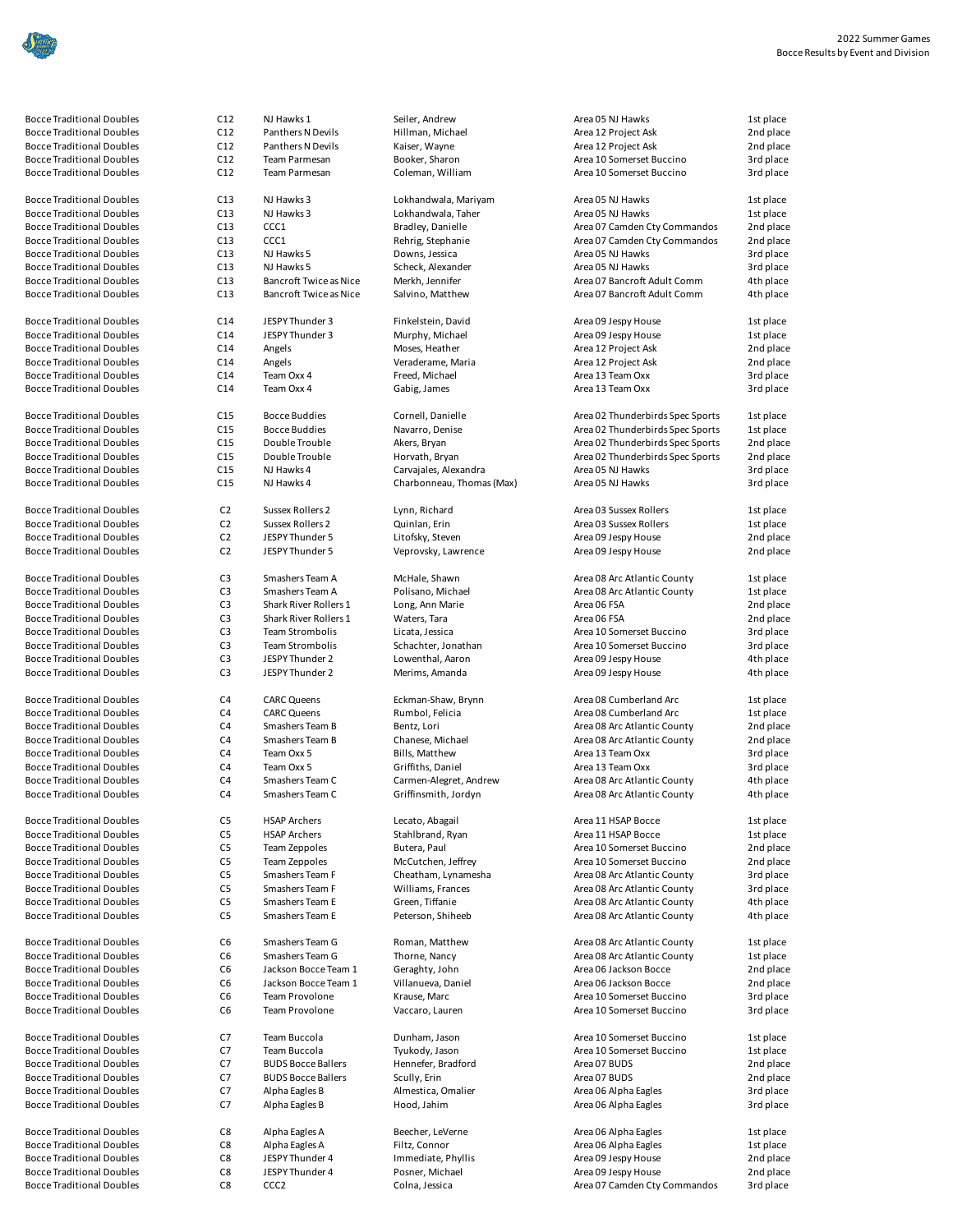| <b>Bocce Traditional Do</b> |
|-----------------------------|
| Bocce Traditional Do        |
| <b>Bocce Traditional Do</b> |
| <b>Bocce Traditional Do</b> |
|                             |
| <b>Bocce Traditional Do</b> |
| <b>Bocce Traditional Do</b> |
| <b>Bocce Traditional Do</b> |
| Bocce Traditional Do        |
| <b>Bocce Traditional Do</b> |
| <b>Bocce Traditional Do</b> |
| <b>Bocce Traditional Do</b> |
| <b>Bocce Traditional Do</b> |
|                             |
| <b>Bocce Traditional Do</b> |
| Bocce Traditional Do        |
| <b>Bocce Traditional Do</b> |
| <b>Bocce Traditional Do</b> |
| <b>Bocce Traditional Do</b> |
| <b>Bocce Traditional Do</b> |
|                             |
| <b>Bocce Traditional Do</b> |
|                             |

| <b>Bocce Traditional Doubles</b>                                     | C12                              | NJ Hawks 1                            | Seiler, Andrew                     | Area 05 NJ Hawks                                      | 1st place              |
|----------------------------------------------------------------------|----------------------------------|---------------------------------------|------------------------------------|-------------------------------------------------------|------------------------|
| <b>Bocce Traditional Doubles</b><br><b>Bocce Traditional Doubles</b> | C12                              | Panthers N Devils                     | Hillman, Michael                   | Area 12 Project Ask                                   | 2nd place              |
| <b>Bocce Traditional Doubles</b>                                     | C12<br>C12                       | Panthers N Devils<br>Team Parmesan    | Kaiser, Wayne<br>Booker, Sharon    | Area 12 Project Ask<br>Area 10 Somerset Buccino       | 2nd place<br>3rd place |
| <b>Bocce Traditional Doubles</b>                                     | C12                              | Team Parmesan                         | Coleman, William                   | Area 10 Somerset Buccino                              | 3rd place              |
| <b>Bocce Traditional Doubles</b>                                     | C13                              | NJ Hawks 3                            | Lokhandwala, Mariyam               | Area 05 NJ Hawks                                      | 1st place              |
| <b>Bocce Traditional Doubles</b>                                     | C13                              | NJ Hawks 3                            | Lokhandwala, Taher                 | Area 05 NJ Hawks                                      | 1st place              |
| <b>Bocce Traditional Doubles</b>                                     | C13                              | CCC1                                  | Bradley, Danielle                  | Area 07 Camden Cty Commandos                          | 2nd place              |
| <b>Bocce Traditional Doubles</b>                                     | C13                              | CCC1                                  | Rehrig, Stephanie                  | Area 07 Camden Cty Commandos                          | 2nd place              |
| <b>Bocce Traditional Doubles</b>                                     | C13                              | NJ Hawks 5                            | Downs, Jessica                     | Area 05 NJ Hawks                                      | 3rd place              |
| <b>Bocce Traditional Doubles</b>                                     | C13                              | NJ Hawks 5                            | Scheck, Alexander                  | Area 05 NJ Hawks                                      | 3rd place              |
| <b>Bocce Traditional Doubles</b>                                     | C13                              | <b>Bancroft Twice as Nice</b>         | Merkh, Jennifer                    | Area 07 Bancroft Adult Comm                           | 4th place              |
| <b>Bocce Traditional Doubles</b>                                     | C13                              | <b>Bancroft Twice as Nice</b>         | Salvino, Matthew                   | Area 07 Bancroft Adult Comm                           | 4th place              |
| <b>Bocce Traditional Doubles</b>                                     | C14                              | JESPY Thunder 3                       | Finkelstein, David                 | Area 09 Jespy House                                   | 1st place              |
| <b>Bocce Traditional Doubles</b>                                     | C14                              | JESPY Thunder 3                       | Murphy, Michael                    | Area 09 Jespy House                                   | 1st place              |
| <b>Bocce Traditional Doubles</b>                                     | C14                              | Angels                                | Moses, Heather                     | Area 12 Project Ask                                   | 2nd place              |
| <b>Bocce Traditional Doubles</b>                                     | C14                              | Angels                                | Veraderame, Maria                  | Area 12 Project Ask                                   | 2nd place              |
| <b>Bocce Traditional Doubles</b><br><b>Bocce Traditional Doubles</b> | C14<br>C14                       | Team Oxx 4<br>Team Oxx 4              | Freed, Michael<br>Gabig, James     | Area 13 Team Oxx<br>Area 13 Team Oxx                  | 3rd place<br>3rd place |
|                                                                      |                                  |                                       |                                    |                                                       |                        |
| <b>Bocce Traditional Doubles</b>                                     | C15                              | Bocce Buddies                         | Cornell, Danielle                  | Area 02 Thunderbirds Spec Sports                      | 1st place              |
| <b>Bocce Traditional Doubles</b>                                     | C15                              | Bocce Buddies                         | Navarro, Denise                    | Area 02 Thunderbirds Spec Sports                      | 1st place              |
| <b>Bocce Traditional Doubles</b>                                     | C15                              | Double Trouble                        | Akers, Bryan                       | Area 02 Thunderbirds Spec Sports                      | 2nd place              |
| <b>Bocce Traditional Doubles</b>                                     | C15                              | Double Trouble                        | Horvath, Bryan                     | Area 02 Thunderbirds Spec Sports                      | 2nd place              |
| <b>Bocce Traditional Doubles</b>                                     | C15                              | NJ Hawks 4                            | Carvajales, Alexandra              | Area 05 NJ Hawks                                      | 3rd place              |
| <b>Bocce Traditional Doubles</b>                                     | C15                              | NJ Hawks 4                            | Charbonneau, Thomas (Max)          | Area 05 NJ Hawks                                      | 3rd place              |
| <b>Bocce Traditional Doubles</b>                                     | C <sub>2</sub>                   | Sussex Rollers 2                      | Lynn, Richard                      | Area 03 Sussex Rollers                                | 1st place              |
| <b>Bocce Traditional Doubles</b>                                     | C <sub>2</sub>                   | Sussex Rollers 2                      | Quinlan, Erin                      | Area 03 Sussex Rollers                                | 1st place              |
| Bocce Traditional Doubles                                            | C <sub>2</sub>                   | JESPY Thunder 5                       | Litofsky, Steven                   | Area 09 Jespy House                                   | 2nd place              |
| <b>Bocce Traditional Doubles</b>                                     | C <sub>2</sub>                   | JESPY Thunder 5                       | Veprovsky, Lawrence                | Area 09 Jespy House                                   | 2nd place              |
| <b>Bocce Traditional Doubles</b>                                     | C <sub>3</sub>                   | Smashers Team A                       | McHale, Shawn                      | Area 08 Arc Atlantic County                           | 1st place              |
| <b>Bocce Traditional Doubles</b>                                     | C <sub>3</sub>                   | Smashers Team A                       | Polisano, Michael                  | Area 08 Arc Atlantic County                           | 1st place              |
| <b>Bocce Traditional Doubles</b>                                     | C <sub>3</sub>                   | Shark River Rollers 1                 | Long, Ann Marie                    | Area 06 FSA                                           | 2nd place              |
| <b>Bocce Traditional Doubles</b>                                     | C <sub>3</sub>                   | Shark River Rollers 1                 | Waters, Tara                       | Area 06 FSA                                           | 2nd place              |
| <b>Bocce Traditional Doubles</b>                                     | C <sub>3</sub>                   | Team Strombolis                       | Licata, Jessica                    | Area 10 Somerset Buccino                              | 3rd place              |
| <b>Bocce Traditional Doubles</b>                                     | C <sub>3</sub>                   | Team Strombolis                       | Schachter, Jonathan                | Area 10 Somerset Buccino                              | 3rd place              |
| <b>Bocce Traditional Doubles</b><br><b>Bocce Traditional Doubles</b> | C <sub>3</sub><br>C <sub>3</sub> | JESPY Thunder 2<br>JESPY Thunder 2    | Lowenthal, Aaron<br>Merims, Amanda | Area 09 Jespy House<br>Area 09 Jespy House            | 4th place<br>4th place |
|                                                                      |                                  |                                       |                                    |                                                       |                        |
| <b>Bocce Traditional Doubles</b><br><b>Bocce Traditional Doubles</b> | C <sub>4</sub><br>C4             | <b>CARC Queens</b>                    | Eckman-Shaw, Brynn                 | Area 08 Cumberland Arc                                | 1st place              |
| <b>Bocce Traditional Doubles</b>                                     | C <sub>4</sub>                   | <b>CARC Queens</b><br>Smashers Team B | Rumbol, Felicia<br>Bentz, Lori     | Area 08 Cumberland Arc<br>Area 08 Arc Atlantic County | 1st place<br>2nd place |
| <b>Bocce Traditional Doubles</b>                                     | C <sub>4</sub>                   | Smashers Team B                       | Chanese, Michael                   | Area 08 Arc Atlantic County                           | 2nd place              |
| <b>Bocce Traditional Doubles</b>                                     | C <sub>4</sub>                   | Team Oxx 5                            | Bills, Matthew                     | Area 13 Team Oxx                                      | 3rd place              |
| <b>Bocce Traditional Doubles</b>                                     | C <sub>4</sub>                   | Team Oxx 5                            | Griffiths, Daniel                  | Area 13 Team Oxx                                      | 3rd place              |
| Bocce Traditional Doubles                                            | C <sub>4</sub>                   | Smashers Team C                       | Carmen-Alegret, Andrew             | Area 08 Arc Atlantic County                           | 4th place              |
| Bocce Traditional Doubles                                            | C4                               | Smashers Team C                       | Griffinsmith, Jordyn               | Area 08 Arc Atlantic County                           | 4th place              |
| <b>Bocce Traditional Doubles</b>                                     | C5                               | <b>HSAP Archers</b>                   | Lecato, Abagail                    | Area 11 HSAP Bocce                                    | 1st place              |
| <b>Bocce Traditional Doubles</b>                                     | C5                               | <b>HSAP Archers</b>                   | Stahlbrand, Ryan                   | Area 11 HSAP Bocce                                    | 1st place              |
| <b>Bocce Traditional Doubles</b>                                     | C5                               | Team Zeppoles                         | Butera, Paul                       | Area 10 Somerset Buccino                              | 2nd place              |
| <b>Bocce Traditional Doubles</b>                                     | C5                               | Team Zeppoles                         | McCutchen, Jeffrey                 | Area 10 Somerset Buccino                              | 2nd place              |
| <b>Bocce Traditional Doubles</b>                                     | C5                               | Smashers Team F                       | Cheatham, Lynamesha                | Area 08 Arc Atlantic County                           | 3rd place              |
| <b>Bocce Traditional Doubles</b>                                     | C5                               | Smashers Team F                       | Williams, Frances                  | Area 08 Arc Atlantic County                           | 3rd place              |
| <b>Bocce Traditional Doubles</b>                                     | C5                               | Smashers Team E                       | Green, Tiffanie                    | Area 08 Arc Atlantic County                           | 4th place              |
| <b>Bocce Traditional Doubles</b>                                     | C <sub>5</sub>                   | Smashers Team E                       | Peterson, Shiheeb                  | Area 08 Arc Atlantic County                           | 4th place              |
| <b>Bocce Traditional Doubles</b>                                     | C6                               | Smashers Team G                       | Roman, Matthew                     | Area 08 Arc Atlantic County                           | 1st place              |
| <b>Bocce Traditional Doubles</b>                                     | C6                               | Smashers Team G                       | Thorne, Nancy                      | Area 08 Arc Atlantic County                           | 1st place              |
| <b>Bocce Traditional Doubles</b>                                     | C <sub>6</sub>                   | Jackson Bocce Team 1                  | Geraghty, John                     | Area 06 Jackson Bocce                                 | 2nd place              |
| <b>Bocce Traditional Doubles</b>                                     | C6                               | Jackson Bocce Team 1                  | Villanueva, Daniel                 | Area 06 Jackson Bocce                                 | 2nd place              |
| <b>Bocce Traditional Doubles</b>                                     | C6                               | <b>Team Provolone</b>                 | Krause, Marc                       | Area 10 Somerset Buccino                              | 3rd place              |
| <b>Bocce Traditional Doubles</b>                                     | C6                               | Team Provolone                        | Vaccaro, Lauren                    | Area 10 Somerset Buccino                              | 3rd place              |
| <b>Bocce Traditional Doubles</b>                                     | C7                               | Team Buccola                          | Dunham, Jason                      | Area 10 Somerset Buccino                              | 1st place              |
| <b>Bocce Traditional Doubles</b>                                     | C7                               | Team Buccola                          | Tyukody, Jason                     | Area 10 Somerset Buccino                              | 1st place              |
| <b>Bocce Traditional Doubles</b>                                     | C7                               | <b>BUDS Bocce Ballers</b>             | Hennefer, Bradford                 | Area 07 BUDS                                          | 2nd place              |
| <b>Bocce Traditional Doubles</b>                                     | C7                               | <b>BUDS Bocce Ballers</b>             | Scully, Erin                       | Area 07 BUDS                                          | 2nd place              |
| <b>Bocce Traditional Doubles</b>                                     | C7                               | Alpha Eagles B                        | Almestica, Omalier                 | Area 06 Alpha Eagles                                  | 3rd place              |
| <b>Bocce Traditional Doubles</b>                                     | C7                               | Alpha Eagles B                        | Hood, Jahim                        | Area 06 Alpha Eagles                                  | 3rd place              |
| <b>Bocce Traditional Doubles</b>                                     | C8                               | Alpha Eagles A                        | Beecher, LeVerne                   | Area 06 Alpha Eagles                                  | 1st place              |
| <b>Bocce Traditional Doubles</b>                                     | C8                               | Alpha Eagles A                        | Filtz, Connor                      | Area 06 Alpha Eagles                                  | 1st place              |
| <b>Bocce Traditional Doubles</b>                                     | C8                               | JESPY Thunder 4                       | Immediate, Phyllis                 | Area 09 Jespy House                                   | 2nd place              |
| <b>Bocce Traditional Doubles</b>                                     | C8                               | JESPY Thunder 4                       | Posner, Michael                    | Area 09 Jespy House                                   | 2nd place              |
| <b>Bocce Traditional Doubles</b>                                     | C8                               | CCC <sub>2</sub>                      | Colna, Jessica                     | Area 07 Camden Cty Commandos                          | 3rd place              |

| <b>Bocce Traditional Doubles</b>                                     | C12                              | NJ Hawks 1                          | Seiler, Andrew                     | Area 05 NJ Hawks                                     | 1st place              |
|----------------------------------------------------------------------|----------------------------------|-------------------------------------|------------------------------------|------------------------------------------------------|------------------------|
| Bocce Traditional Doubles                                            | C12                              | Panthers N Devils                   | Hillman, Michael                   | Area 12 Project Ask                                  | 2nd place              |
| <b>Bocce Traditional Doubles</b>                                     | C12                              | Panthers N Devils                   | Kaiser, Wayne                      | Area 12 Project Ask                                  | 2nd place              |
| <b>Bocce Traditional Doubles</b>                                     | C12                              | Team Parmesan                       | Booker, Sharon                     | Area 10 Somerset Buccino                             | 3rd place              |
| <b>Bocce Traditional Doubles</b>                                     | C12                              | Team Parmesan                       | Coleman, William                   | Area 10 Somerset Buccino                             | 3rd place              |
| <b>Bocce Traditional Doubles</b>                                     | C13                              | NJ Hawks 3                          | Lokhandwala, Mariyam               | Area 05 NJ Hawks                                     | 1st place              |
| <b>Bocce Traditional Doubles</b>                                     | C13                              | NJ Hawks 3                          | Lokhandwala, Taher                 | Area 05 NJ Hawks                                     | 1st place              |
| <b>Bocce Traditional Doubles</b>                                     | C13                              | CCC1                                | Bradley, Danielle                  | Area 07 Camden Cty Commandos                         | 2nd place              |
| <b>Bocce Traditional Doubles</b>                                     | C13                              | CCC1                                | Rehrig, Stephanie                  | Area 07 Camden Cty Commandos                         | 2nd place              |
| <b>Bocce Traditional Doubles</b>                                     | C13                              | NJ Hawks 5                          | Downs, Jessica                     | Area 05 NJ Hawks                                     | 3rd place              |
| <b>Bocce Traditional Doubles</b>                                     | C13                              | NJ Hawks 5                          | Scheck, Alexander                  | Area 05 NJ Hawks                                     | 3rd place              |
| <b>Bocce Traditional Doubles</b>                                     | C13                              | <b>Bancroft Twice as Nice</b>       | Merkh, Jennifer                    | Area 07 Bancroft Adult Comm                          | 4th place              |
| <b>Bocce Traditional Doubles</b>                                     | C13                              | <b>Bancroft Twice as Nice</b>       | Salvino, Matthew                   | Area 07 Bancroft Adult Comm                          | 4th place              |
| Bocce Traditional Doubles                                            | C14                              | JESPY Thunder 3                     | Finkelstein, David                 | Area 09 Jespy House                                  | 1st place              |
| <b>Bocce Traditional Doubles</b>                                     | C14                              | JESPY Thunder 3                     | Murphy, Michael                    | Area 09 Jespy House                                  | 1st place              |
| <b>Bocce Traditional Doubles</b>                                     | C14                              | Angels                              | Moses, Heather                     | Area 12 Project Ask                                  | 2nd place              |
| <b>Bocce Traditional Doubles</b>                                     | C14                              | Angels                              | Veraderame, Maria                  | Area 12 Project Ask                                  | 2nd place              |
| <b>Bocce Traditional Doubles</b>                                     | C14                              | Team Oxx 4                          | Freed, Michael                     | Area 13 Team Oxx                                     | 3rd place              |
| <b>Bocce Traditional Doubles</b>                                     | C14                              | Team Oxx 4                          | Gabig, James                       | Area 13 Team Oxx                                     | 3rd place              |
| <b>Bocce Traditional Doubles</b>                                     | C15                              | Bocce Buddies                       | Cornell, Danielle                  | Area 02 Thunderbirds Spec Sports                     | 1st place              |
| <b>Bocce Traditional Doubles</b>                                     | C15                              | <b>Bocce Buddies</b>                | Navarro, Denise                    | Area 02 Thunderbirds Spec Sports                     | 1st place              |
| <b>Bocce Traditional Doubles</b>                                     | C15                              | Double Trouble                      | Akers, Bryan                       | Area 02 Thunderbirds Spec Sports                     | 2nd place              |
| <b>Bocce Traditional Doubles</b>                                     | C15                              | Double Trouble                      | Horvath, Bryan                     | Area 02 Thunderbirds Spec Sports                     | 2nd place              |
| Bocce Traditional Doubles                                            | C15                              | NJ Hawks 4                          | Carvajales, Alexandra              | Area 05 NJ Hawks                                     | 3rd place              |
| <b>Bocce Traditional Doubles</b>                                     | C15                              | NJ Hawks 4                          | Charbonneau, Thomas (Max)          | Area 05 NJ Hawks                                     | 3rd place              |
| <b>Bocce Traditional Doubles</b>                                     |                                  |                                     |                                    |                                                      |                        |
| <b>Bocce Traditional Doubles</b>                                     | C <sub>2</sub><br>C <sub>2</sub> | Sussex Rollers 2                    | Lynn, Richard                      | Area 03 Sussex Rollers                               | 1st place<br>1st place |
| <b>Bocce Traditional Doubles</b>                                     |                                  | Sussex Rollers 2<br>JESPY Thunder 5 | Quinlan, Erin<br>Litofsky, Steven  | Area 03 Sussex Rollers                               |                        |
| Bocce Traditional Doubles                                            | C <sub>2</sub><br>C <sub>2</sub> | JESPY Thunder 5                     | Veprovsky, Lawrence                | Area 09 Jespy House<br>Area 09 Jespy House           | 2nd place<br>2nd place |
|                                                                      |                                  |                                     |                                    |                                                      |                        |
| Bocce Traditional Doubles                                            | C <sub>3</sub>                   | Smashers Team A                     | McHale, Shawn                      | Area 08 Arc Atlantic County                          | 1st place              |
| Bocce Traditional Doubles                                            | C <sub>3</sub>                   | Smashers Team A                     | Polisano, Michael                  | Area 08 Arc Atlantic County                          | 1st place              |
| <b>Bocce Traditional Doubles</b>                                     | C <sub>3</sub>                   | Shark River Rollers 1               | Long, Ann Marie                    | Area 06 FSA                                          | 2nd place              |
| <b>Bocce Traditional Doubles</b>                                     | C <sub>3</sub>                   | Shark River Rollers 1               | Waters, Tara                       | Area 06 FSA                                          | 2nd place              |
| <b>Bocce Traditional Doubles</b>                                     | C <sub>3</sub>                   | Team Strombolis                     | Licata, Jessica                    | Area 10 Somerset Buccino                             | 3rd place              |
| Bocce Traditional Doubles                                            | C <sub>3</sub>                   | Team Strombolis                     | Schachter, Jonathan                | Area 10 Somerset Buccino                             | 3rd place              |
| <b>Bocce Traditional Doubles</b><br><b>Bocce Traditional Doubles</b> | C <sub>3</sub><br>C <sub>3</sub> | JESPY Thunder 2<br>JESPY Thunder 2  | Lowenthal, Aaron<br>Merims, Amanda | Area 09 Jespy House<br>Area 09 Jespy House           | 4th place<br>4th place |
|                                                                      |                                  |                                     |                                    |                                                      |                        |
| <b>Bocce Traditional Doubles</b>                                     | C <sub>4</sub>                   | <b>CARC Queens</b>                  | Eckman-Shaw, Brynn                 | Area 08 Cumberland Arc                               | 1st place              |
| <b>Bocce Traditional Doubles</b>                                     | C <sub>4</sub>                   | <b>CARC Queens</b>                  | Rumbol, Felicia                    | Area 08 Cumberland Arc                               | 1st place              |
| <b>Bocce Traditional Doubles</b>                                     | C <sub>4</sub>                   | Smashers Team B                     | Bentz, Lori                        | Area 08 Arc Atlantic County                          | 2nd place              |
| <b>Bocce Traditional Doubles</b>                                     | C4                               | Smashers Team B                     | Chanese, Michael                   | Area 08 Arc Atlantic County                          | 2nd place              |
| <b>Bocce Traditional Doubles</b>                                     | C <sub>4</sub>                   | Team Oxx 5                          | Bills, Matthew                     | Area 13 Team Oxx                                     | 3rd place              |
| <b>Bocce Traditional Doubles</b>                                     | C <sub>4</sub>                   | Team Oxx 5                          | Griffiths, Daniel                  | Area 13 Team Oxx                                     | 3rd place              |
| <b>Bocce Traditional Doubles</b>                                     | C4                               | Smashers Team C                     | Carmen-Alegret, Andrew             | Area 08 Arc Atlantic County                          | 4th place              |
| <b>Bocce Traditional Doubles</b>                                     | C <sub>4</sub>                   | Smashers Team C                     | Griffinsmith, Jordyn               | Area 08 Arc Atlantic County                          | 4th place              |
| <b>Bocce Traditional Doubles</b>                                     | C <sub>5</sub>                   | <b>HSAP Archers</b>                 | Lecato, Abagail                    | Area 11 HSAP Bocce                                   | 1st place              |
| Bocce Traditional Doubles                                            | C <sub>5</sub>                   | <b>HSAP Archers</b>                 | Stahlbrand, Ryan                   | Area 11 HSAP Bocce                                   | 1st place              |
| <b>Bocce Traditional Doubles</b>                                     | C <sub>5</sub>                   | Team Zeppoles                       | Butera, Paul                       | Area 10 Somerset Buccino                             | 2nd place              |
| <b>Bocce Traditional Doubles</b>                                     | C <sub>5</sub>                   | Team Zeppoles                       | McCutchen, Jeffrey                 | Area 10 Somerset Buccino                             | 2nd place              |
| <b>Bocce Traditional Doubles</b>                                     | C <sub>5</sub>                   | Smashers Team F                     | Cheatham, Lynamesha                | Area 08 Arc Atlantic County                          | 3rd place              |
| <b>Bocce Traditional Doubles</b>                                     | C <sub>5</sub>                   | Smashers Team F                     | Williams, Frances                  | Area 08 Arc Atlantic County                          | 3rd place              |
| <b>Bocce Traditional Doubles</b>                                     | C5                               | Smashers Team E                     | Green, Tiffanie                    | Area 08 Arc Atlantic County                          | 4th place              |
| <b>Bocce Traditional Doubles</b>                                     | C <sub>5</sub>                   | Smashers Team E                     | Peterson, Shiheeb                  | Area 08 Arc Atlantic County                          | 4th place              |
| <b>Bocce Traditional Doubles</b>                                     | C6                               | Smashers Team G                     | Roman, Matthew                     | Area 08 Arc Atlantic County                          | 1st place              |
| <b>Bocce Traditional Doubles</b>                                     | C6                               | Smashers Team G                     | Thorne, Nancy                      | Area 08 Arc Atlantic County                          | 1st place              |
| <b>Bocce Traditional Doubles</b>                                     | C6                               | Jackson Bocce Team 1                | Geraghty, John                     | Area 06 Jackson Bocce                                | 2nd place              |
| <b>Bocce Traditional Doubles</b>                                     | C6                               | Jackson Bocce Team 1                | Villanueva, Daniel                 | Area 06 Jackson Bocce                                | 2nd place              |
| <b>Bocce Traditional Doubles</b>                                     | C <sub>6</sub>                   | Team Provolone                      | Krause, Marc                       | Area 10 Somerset Buccino                             | 3rd place              |
| <b>Bocce Traditional Doubles</b>                                     | C <sub>6</sub>                   | Team Provolone                      | Vaccaro, Lauren                    | Area 10 Somerset Buccino                             | 3rd place              |
|                                                                      |                                  |                                     |                                    |                                                      |                        |
| <b>Bocce Traditional Doubles</b><br><b>Bocce Traditional Doubles</b> | C7<br>C7                         | Team Buccola<br>Team Buccola        | Dunham, Jason<br>Tyukody, Jason    | Area 10 Somerset Buccino<br>Area 10 Somerset Buccino | 1st place              |
| <b>Bocce Traditional Doubles</b>                                     | C7                               | <b>BUDS Bocce Ballers</b>           | Hennefer, Bradford                 | Area 07 BUDS                                         | 1st place<br>2nd place |
| <b>Bocce Traditional Doubles</b>                                     | C7                               | <b>BUDS Bocce Ballers</b>           | Scully, Erin                       | Area 07 BUDS                                         | 2nd place              |
| <b>Bocce Traditional Doubles</b>                                     | C7                               | Alpha Eagles B                      | Almestica, Omalier                 | Area 06 Alpha Eagles                                 | 3rd place              |
| <b>Bocce Traditional Doubles</b>                                     | C7                               | Alpha Eagles B                      | Hood, Jahim                        | Area 06 Alpha Eagles                                 | 3rd place              |
|                                                                      |                                  |                                     |                                    |                                                      |                        |
| Bocce Traditional Doubles                                            | C8                               | Alpha Eagles A                      | Beecher, LeVerne                   | Area 06 Alpha Eagles                                 | 1st place              |
| <b>Bocce Traditional Doubles</b>                                     | C8                               | Alpha Eagles A                      | Filtz, Connor                      | Area 06 Alpha Eagles                                 | 1st place              |
| <b>Bocce Traditional Doubles</b>                                     | C8                               | JESPY Thunder 4                     | Immediate, Phyllis                 | Area 09 Jespy House                                  | 2nd place              |
| <b>Bocce Traditional Doubles</b>                                     | C8                               | JESPY Thunder 4                     | Posner, Michael                    | Area 09 Jespy House                                  | 2nd place              |